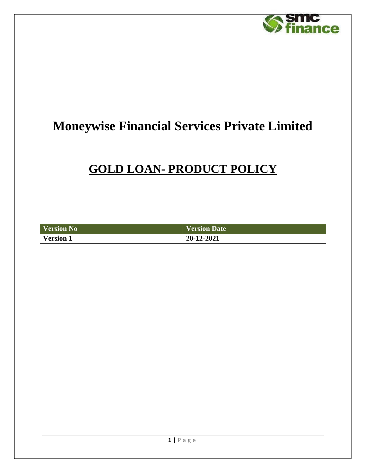

# **Moneywise Financial Services Private Limited**

# **GOLD LOAN- PRODUCT POLICY**

| <b>Version No</b> | Version Date |
|-------------------|--------------|
| <b>Version 1</b>  | 20-12-2021   |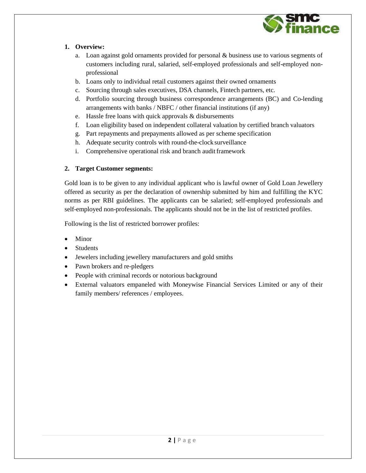

#### **1. Overview:**

- a. Loan against gold ornaments provided for personal & business use to various segments of customers including rural, salaried, self-employed professionals and self-employed nonprofessional
- b. Loans only to individual retail customers against their owned ornaments
- c. Sourcing through sales executives, DSA channels, Fintech partners, etc.
- d. Portfolio sourcing through business correspondence arrangements (BC) and Co-lending arrangements with banks / NBFC / other financial institutions (if any)
- e. Hassle free loans with quick approvals & disbursements
- f. Loan eligibility based on independent collateral valuation by certified branch valuators
- g. Part repayments and prepayments allowed as per scheme specification
- h. Adequate security controls with round-the-clock surveillance
- i. Comprehensive operational risk and branch audit framework

#### **2. Target Customer segments:**

Gold loan is to be given to any individual applicant who is lawful owner of Gold Loan Jewellery offered as security as per the declaration of ownership submitted by him and fulfilling the KYC norms as per RBI guidelines. The applicants can be salaried; self-employed professionals and self-employed non-professionals. The applicants should not be in the list of restricted profiles.

Following is the list of restricted borrower profiles:

- Minor
- Students
- Jewelers including jewellery manufacturers and gold smiths
- Pawn brokers and re-pledgers
- People with criminal records or notorious background
- External valuators empaneled with Moneywise Financial Services Limited or any of their family members/ references / employees.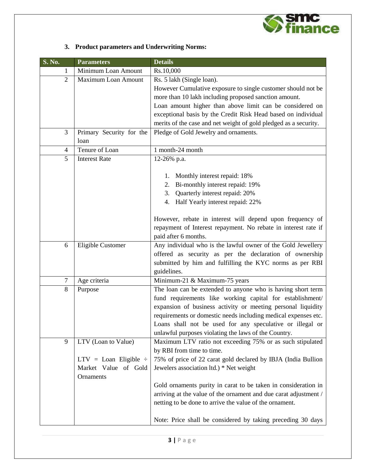

### **3. Product parameters and Underwriting Norms:**

| S. No.         | <b>Parameters</b>            | <b>Details</b>                                                                                                              |  |
|----------------|------------------------------|-----------------------------------------------------------------------------------------------------------------------------|--|
| 1              | Minimum Loan Amount          | Rs.10,000                                                                                                                   |  |
| $\overline{2}$ | Maximum Loan Amount          | Rs. 5 lakh (Single loan).                                                                                                   |  |
|                |                              | However Cumulative exposure to single customer should not be                                                                |  |
|                |                              | more than 10 lakh including proposed sanction amount.                                                                       |  |
|                |                              | Loan amount higher than above limit can be considered on                                                                    |  |
|                |                              | exceptional basis by the Credit Risk Head based on individual                                                               |  |
|                |                              | merits of the case and net weight of gold pledged as a security.                                                            |  |
| 3              | Primary Security for the     | Pledge of Gold Jewelry and ornaments.                                                                                       |  |
|                | loan                         |                                                                                                                             |  |
| 4              | Tenure of Loan               | 1 month-24 month                                                                                                            |  |
| 5              | <b>Interest Rate</b>         | 12-26% p.a.                                                                                                                 |  |
|                |                              |                                                                                                                             |  |
|                |                              | 1. Monthly interest repaid: 18%                                                                                             |  |
|                |                              | 2. Bi-monthly interest repaid: 19%                                                                                          |  |
|                |                              | Quarterly interest repaid: 20%<br>3.                                                                                        |  |
|                |                              | Half Yearly interest repaid: 22%<br>4.                                                                                      |  |
|                |                              |                                                                                                                             |  |
|                |                              | However, rebate in interest will depend upon frequency of<br>repayment of Interest repayment. No rebate in interest rate if |  |
|                |                              | paid after 6 months.                                                                                                        |  |
| 6              | Eligible Customer            | Any individual who is the lawful owner of the Gold Jewellery                                                                |  |
|                |                              | offered as security as per the declaration of ownership                                                                     |  |
|                |                              | submitted by him and fulfilling the KYC norms as per RBI                                                                    |  |
|                |                              | guidelines.                                                                                                                 |  |
| $\overline{7}$ | Age criteria                 | Minimum-21 & Maximum-75 years                                                                                               |  |
| 8              | Purpose                      | The loan can be extended to anyone who is having short term                                                                 |  |
|                |                              | fund requirements like working capital for establishment/                                                                   |  |
|                |                              | expansion of business activity or meeting personal liquidity                                                                |  |
|                |                              | requirements or domestic needs including medical expenses etc.                                                              |  |
|                |                              | Loans shall not be used for any speculative or illegal or                                                                   |  |
|                |                              | unlawful purposes violating the laws of the Country.                                                                        |  |
| 9              | LTV (Loan to Value)          | Maximum LTV ratio not exceeding 75% or as such stipulated                                                                   |  |
|                |                              | by RBI from time to time.                                                                                                   |  |
|                | $LTV =$ Loan Eligible $\div$ | 75% of price of 22 carat gold declared by IBJA (India Bullion                                                               |  |
|                | Market Value of Gold         | Jewelers association ltd.) * Net weight                                                                                     |  |
|                | Ornaments                    |                                                                                                                             |  |
|                |                              | Gold ornaments purity in carat to be taken in consideration in                                                              |  |
|                |                              | arriving at the value of the ornament and due carat adjustment /                                                            |  |
|                |                              | netting to be done to arrive the value of the ornament.                                                                     |  |
|                |                              |                                                                                                                             |  |
|                |                              | Note: Price shall be considered by taking preceding 30 days                                                                 |  |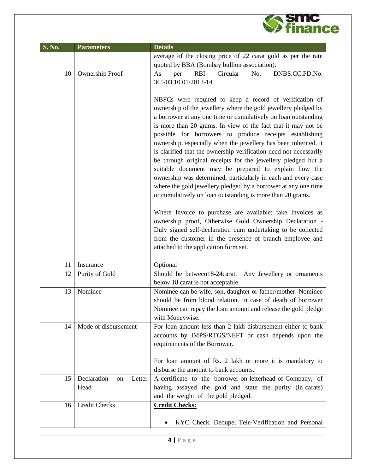

| S. No. | <b>Parameters</b>           | <b>Details</b>                                                                                                                                                                                                                                                                                                                                                                                                                                                                                                                                                                                                                                                                                                                                                                                                                                                                                                                                                                                                                                                                        |  |
|--------|-----------------------------|---------------------------------------------------------------------------------------------------------------------------------------------------------------------------------------------------------------------------------------------------------------------------------------------------------------------------------------------------------------------------------------------------------------------------------------------------------------------------------------------------------------------------------------------------------------------------------------------------------------------------------------------------------------------------------------------------------------------------------------------------------------------------------------------------------------------------------------------------------------------------------------------------------------------------------------------------------------------------------------------------------------------------------------------------------------------------------------|--|
|        |                             | average of the closing price of 22 carat gold as per the rate                                                                                                                                                                                                                                                                                                                                                                                                                                                                                                                                                                                                                                                                                                                                                                                                                                                                                                                                                                                                                         |  |
|        |                             | quoted by BBA (Bombay bullion association).                                                                                                                                                                                                                                                                                                                                                                                                                                                                                                                                                                                                                                                                                                                                                                                                                                                                                                                                                                                                                                           |  |
| 10     | Ownership Proof             | <b>RBI</b><br>Circular<br>No.<br>DNBS.CC.PD.No.<br>As<br>per                                                                                                                                                                                                                                                                                                                                                                                                                                                                                                                                                                                                                                                                                                                                                                                                                                                                                                                                                                                                                          |  |
|        |                             | 365/03.10.01/2013-14                                                                                                                                                                                                                                                                                                                                                                                                                                                                                                                                                                                                                                                                                                                                                                                                                                                                                                                                                                                                                                                                  |  |
|        |                             | NBFCs were required to keep a record of verification of<br>ownership of the jewellery where the gold jewellery pledged by<br>a borrower at any one time or cumulatively on loan outstanding<br>is more than 20 grams. In view of the fact that it may not be<br>possible for borrowers to produce receipts establishing<br>ownership, especially when the jewellery has been inherited, it<br>is clarified that the ownership verification need not necessarily<br>be through original receipts for the jewellery pledged but a<br>suitable document may be prepared to explain how the<br>ownership was determined, particularly in each and every case<br>where the gold jewellery pledged by a borrower at any one time<br>or cumulatively on loan outstanding is more than 20 grams.<br>Where Invoice to purchase are available: take Invoices as<br>ownership proof, Otherwise Gold Ownership Declaration -<br>Duly signed self-declaration cum undertaking to be collected<br>from the customer in the presence of branch employee and<br>attached to the application form set. |  |
|        |                             |                                                                                                                                                                                                                                                                                                                                                                                                                                                                                                                                                                                                                                                                                                                                                                                                                                                                                                                                                                                                                                                                                       |  |
| 11     | Insurance                   | Optional                                                                                                                                                                                                                                                                                                                                                                                                                                                                                                                                                                                                                                                                                                                                                                                                                                                                                                                                                                                                                                                                              |  |
| 12     | Purity of Gold              | Should be between18-24carat. Any Jewellery or ornaments<br>below 18 carat is not acceptable.                                                                                                                                                                                                                                                                                                                                                                                                                                                                                                                                                                                                                                                                                                                                                                                                                                                                                                                                                                                          |  |
| 13     | Nominee                     | Nominee can be wife, son, daughter or father/mother. Nominee<br>should be from blood relation. In case of death of borrower<br>Nominee can repay the loan amount and release the gold pledge<br>with Moneywise.                                                                                                                                                                                                                                                                                                                                                                                                                                                                                                                                                                                                                                                                                                                                                                                                                                                                       |  |
| 14     | Mode of disbursement        | For loan amount less than 2 lakh disbursement either to bank<br>accounts by IMPS/RTGS/NEFT or cash depends upon the<br>requirements of the Borrower.<br>For loan amount of Rs. 2 lakh or more it is mandatory to                                                                                                                                                                                                                                                                                                                                                                                                                                                                                                                                                                                                                                                                                                                                                                                                                                                                      |  |
|        |                             | disburse the amount to bank accounts.                                                                                                                                                                                                                                                                                                                                                                                                                                                                                                                                                                                                                                                                                                                                                                                                                                                                                                                                                                                                                                                 |  |
| 15     | Declaration<br>Letter<br>on | A certificate to the borrower on letterhead of Company, of                                                                                                                                                                                                                                                                                                                                                                                                                                                                                                                                                                                                                                                                                                                                                                                                                                                                                                                                                                                                                            |  |
|        | Head                        | having assayed the gold and state the purity (in carats)<br>and the weight of the gold pledged.                                                                                                                                                                                                                                                                                                                                                                                                                                                                                                                                                                                                                                                                                                                                                                                                                                                                                                                                                                                       |  |
| 16     | <b>Credit Checks</b>        | <b>Credit Checks:</b>                                                                                                                                                                                                                                                                                                                                                                                                                                                                                                                                                                                                                                                                                                                                                                                                                                                                                                                                                                                                                                                                 |  |
|        |                             | KYC Check, Dedupe, Tele-Verification and Personal                                                                                                                                                                                                                                                                                                                                                                                                                                                                                                                                                                                                                                                                                                                                                                                                                                                                                                                                                                                                                                     |  |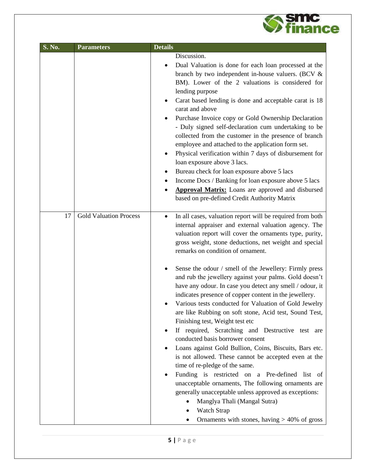

| S. No. | <b>Parameters</b>             | <b>Details</b>                                                                                                                                                                                                                                                                                                                                                                                                                                                                                                                                                                                                                                                                                                                                                                                                                                                                                                                                                                                                                                                                                                                                           |
|--------|-------------------------------|----------------------------------------------------------------------------------------------------------------------------------------------------------------------------------------------------------------------------------------------------------------------------------------------------------------------------------------------------------------------------------------------------------------------------------------------------------------------------------------------------------------------------------------------------------------------------------------------------------------------------------------------------------------------------------------------------------------------------------------------------------------------------------------------------------------------------------------------------------------------------------------------------------------------------------------------------------------------------------------------------------------------------------------------------------------------------------------------------------------------------------------------------------|
|        |                               | Discussion.<br>Dual Valuation is done for each loan processed at the<br>$\bullet$<br>branch by two independent in-house valuers. (BCV &<br>BM). Lower of the 2 valuations is considered for<br>lending purpose<br>Carat based lending is done and acceptable carat is 18<br>٠<br>carat and above<br>Purchase Invoice copy or Gold Ownership Declaration<br>- Duly signed self-declaration cum undertaking to be<br>collected from the customer in the presence of branch<br>employee and attached to the application form set.<br>Physical verification within 7 days of disbursement for<br>٠<br>loan exposure above 3 lacs.<br>Bureau check for loan exposure above 5 lacs<br>Income Docs / Banking for loan exposure above 5 lacs<br><b>Approval Matrix:</b> Loans are approved and disbursed<br>based on pre-defined Credit Authority Matrix                                                                                                                                                                                                                                                                                                         |
| 17     | <b>Gold Valuation Process</b> | In all cases, valuation report will be required from both<br>٠<br>internal appraiser and external valuation agency. The<br>valuation report will cover the ornaments type, purity,<br>gross weight, stone deductions, net weight and special<br>remarks on condition of ornament.<br>Sense the odour / smell of the Jewellery: Firmly press<br>and rub the jewellery against your palms. Gold doesn't<br>have any odour. In case you detect any smell / odour, it<br>indicates presence of copper content in the jewellery.<br>Various tests conducted for Valuation of Gold Jewelry<br>are like Rubbing on soft stone, Acid test, Sound Test,<br>Finishing test, Weight test etc<br>If required, Scratching and Destructive test are<br>٠<br>conducted basis borrower consent<br>Loans against Gold Bullion, Coins, Biscuits, Bars etc.<br>٠<br>is not allowed. These cannot be accepted even at the<br>time of re-pledge of the same.<br>Funding is restricted on a Pre-defined list of<br>unacceptable ornaments, The following ornaments are<br>generally unacceptable unless approved as exceptions:<br>Manglya Thali (Mangal Sutra)<br>Watch Strap |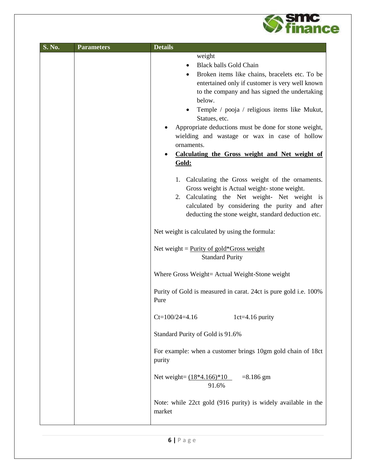

| S. No. | <b>Parameters</b> | <b>Details</b>                                                                                                                                                                                                                                                                                                                                                                                                                                                                                                   |
|--------|-------------------|------------------------------------------------------------------------------------------------------------------------------------------------------------------------------------------------------------------------------------------------------------------------------------------------------------------------------------------------------------------------------------------------------------------------------------------------------------------------------------------------------------------|
|        |                   | weight<br><b>Black balls Gold Chain</b><br>Broken items like chains, bracelets etc. To be<br>entertained only if customer is very well known<br>to the company and has signed the undertaking<br>below.<br>Temple / pooja / religious items like Mukut,<br>Statues, etc.<br>Appropriate deductions must be done for stone weight,<br>wielding and wastage or wax in case of hollow<br>ornaments.<br>Calculating the Gross weight and Net weight of<br>Gold:<br>1. Calculating the Gross weight of the ornaments. |
|        |                   | Gross weight is Actual weight-stone weight.<br>2. Calculating the Net weight- Net weight is<br>calculated by considering the purity and after<br>deducting the stone weight, standard deduction etc.                                                                                                                                                                                                                                                                                                             |
|        |                   | Net weight is calculated by using the formula:<br>Net weight = $Purity of gold*Gross weight$                                                                                                                                                                                                                                                                                                                                                                                                                     |
|        |                   | <b>Standard Purity</b>                                                                                                                                                                                                                                                                                                                                                                                                                                                                                           |
|        |                   | Where Gross Weight= Actual Weight-Stone weight<br>Purity of Gold is measured in carat. 24ct is pure gold i.e. 100%<br>Pure                                                                                                                                                                                                                                                                                                                                                                                       |
|        |                   | $Ct=100/24=4.16$<br>$1ct=4.16$ purity                                                                                                                                                                                                                                                                                                                                                                                                                                                                            |
|        |                   | Standard Purity of Gold is 91.6%                                                                                                                                                                                                                                                                                                                                                                                                                                                                                 |
|        |                   | For example: when a customer brings 10gm gold chain of 18ct<br>purity                                                                                                                                                                                                                                                                                                                                                                                                                                            |
|        |                   | Net weight= $(18*4.166)*10 = 8.186$ gm<br>91.6%                                                                                                                                                                                                                                                                                                                                                                                                                                                                  |
|        |                   | Note: while 22ct gold (916 purity) is widely available in the<br>market                                                                                                                                                                                                                                                                                                                                                                                                                                          |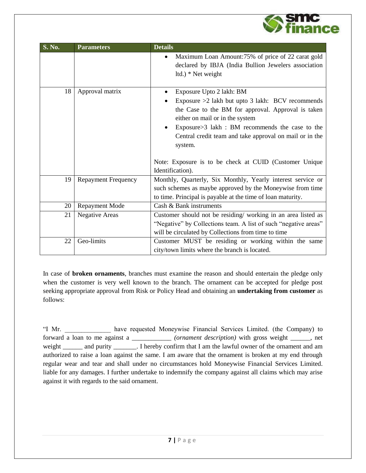

| S. No. | <b>Parameters</b>          | <b>Details</b>                                                                                                                                                                                                                                                                                                |
|--------|----------------------------|---------------------------------------------------------------------------------------------------------------------------------------------------------------------------------------------------------------------------------------------------------------------------------------------------------------|
|        |                            | Maximum Loan Amount:75% of price of 22 carat gold<br>declared by IBJA (India Bullion Jewelers association<br>ltd.) * Net weight                                                                                                                                                                               |
| 18     | Approval matrix            | Exposure Upto 2 lakh: BM<br>$\bullet$<br>Exposure $>2$ lakh but upto 3 lakh: BCV recommends<br>the Case to the BM for approval. Approval is taken<br>either on mail or in the system<br>Exposure>3 lakh : BM recommends the case to the<br>Central credit team and take approval on mail or in the<br>system. |
|        |                            | Note: Exposure is to be check at CUID (Customer Unique<br>Identification).                                                                                                                                                                                                                                    |
| 19     | <b>Repayment Frequency</b> | Monthly, Quarterly, Six Monthly, Yearly interest service or<br>such schemes as maybe approved by the Moneywise from time<br>to time. Principal is payable at the time of loan maturity.                                                                                                                       |
| 20     | <b>Repayment Mode</b>      | Cash & Bank instruments                                                                                                                                                                                                                                                                                       |
| 21     | <b>Negative Areas</b>      | Customer should not be residing/working in an area listed as<br>"Negative" by Collections team. A list of such "negative areas"<br>will be circulated by Collections from time to time                                                                                                                        |
| 22     | Geo-limits                 | Customer MUST be residing or working within the same<br>city/town limits where the branch is located.                                                                                                                                                                                                         |

In case of **broken ornaments**, branches must examine the reason and should entertain the pledge only when the customer is very well known to the branch. The ornament can be accepted for pledge post seeking appropriate approval from Risk or Policy Head and obtaining an **undertaking from customer** as follows:

"I Mr. \_\_\_\_\_\_\_\_\_\_\_\_\_\_ have requested Moneywise Financial Services Limited. (the Company) to forward a loan to me against a \_\_\_\_\_\_\_\_\_\_\_\_ *(ornament description)* with gross weight \_\_\_\_\_\_, net weight \_\_\_\_\_\_\_ and purity \_\_\_\_\_\_\_. I hereby confirm that I am the lawful owner of the ornament and am authorized to raise a loan against the same. I am aware that the ornament is broken at my end through regular wear and tear and shall under no circumstances hold Moneywise Financial Services Limited. liable for any damages. I further undertake to indemnify the company against all claims which may arise against it with regards to the said ornament.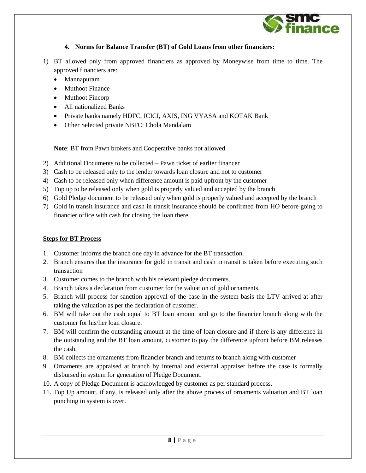

#### **4. Norms for Balance Transfer (BT) of Gold Loans from other financiers:**

- 1) BT allowed only from approved financiers as approved by Moneywise from time to time. The approved financiers are:
	- Mannapuram
	- Muthoot Finance
	- Muthoot Fincorp
	- All nationalized Banks
	- Private banks namely HDFC, ICICI, AXIS, ING VYASA and KOTAK Bank
	- Other Selected private NBFC: Chola Mandalam

**Note**: BT from Pawn brokers and Cooperative banks not allowed

- 2) Additional Documents to be collected Pawn ticket of earlier financer
- 3) Cash to be released only to the lender towards loan closure and not to customer
- 4) Cash to be released only when difference amount is paid upfront by the customer
- 5) Top up to be released only when gold is properly valued and accepted by the branch
- 6) Gold Pledge document to be released only when gold is properly valued and accepted by the branch
- 7) Gold in transit insurance and cash in transit insurance should be confirmed from HO before going to financier office with cash for closing the loan there.

#### **Steps for BT Process**

- 1. Customer informs the branch one day in advance for the BT transaction.
- 2. Branch ensures that the insurance for gold in transit and cash in transit is taken before executing such transaction
- 3. Customer comes to the branch with his relevant pledge documents.
- 4. Branch takes a declaration from customer for the valuation of gold ornaments.
- 5. Branch will process for sanction approval of the case in the system basis the LTV arrived at after taking the valuation as per the declaration of customer.
- 6. BM will take out the cash equal to BT loan amount and go to the financier branch along with the customer for his/her loan closure.
- 7. BM will confirm the outstanding amount at the time of loan closure and if there is any difference in the outstanding and the BT loan amount, customer to pay the difference upfront before BM releases the cash.
- 8. BM collects the ornaments from financier branch and returns to branch along with customer
- 9. Ornaments are appraised at branch by internal and external appraiser before the case is formally disbursed in system for generation of Pledge Document.
- 10. A copy of Pledge Document is acknowledged by customer as per standard process.
- 11. Top Up amount, if any, is released only after the above process of ornaments valuation and BT loan punching in system is over.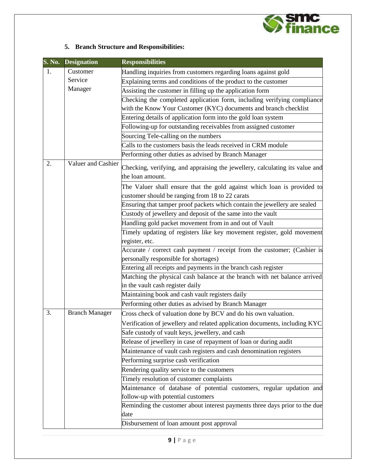

### **5. Branch Structure and Responsibilities:**

| $S. N0$ . | <b>Designation</b>    | <b>Responsibilities</b>                                                                                                    |
|-----------|-----------------------|----------------------------------------------------------------------------------------------------------------------------|
| 1.        | Customer              | Handling inquiries from customers regarding loans against gold                                                             |
|           | Service               | Explaining terms and conditions of the product to the customer                                                             |
|           | Manager               | Assisting the customer in filling up the application form                                                                  |
|           |                       | Checking the completed application form, including verifying compliance                                                    |
|           |                       | with the Know Your Customer (KYC) documents and branch checklist                                                           |
|           |                       | Entering details of application form into the gold loan system                                                             |
|           |                       | Following-up for outstanding receivables from assigned customer                                                            |
|           |                       | Sourcing Tele-calling on the numbers                                                                                       |
|           |                       | Calls to the customers basis the leads received in CRM module                                                              |
|           |                       | Performing other duties as advised by Branch Manager                                                                       |
| 2.        | Valuer and Cashier    | Checking, verifying, and appraising the jewellery, calculating its value and<br>the loan amount.                           |
|           |                       | The Valuer shall ensure that the gold against which loan is provided to<br>customer should be ranging from 18 to 22 carats |
|           |                       | Ensuring that tamper proof packets which contain the jewellery are sealed                                                  |
|           |                       | Custody of jewellery and deposit of the same into the vault                                                                |
|           |                       | Handling gold packet movement from in and out of Vault                                                                     |
|           |                       | Timely updating of registers like key movement register, gold movement                                                     |
|           |                       | register, etc.                                                                                                             |
|           |                       | Accurate / correct cash payment / receipt from the customer; (Cashier is                                                   |
|           |                       | personally responsible for shortages)                                                                                      |
|           |                       | Entering all receipts and payments in the branch cash register                                                             |
|           |                       | Matching the physical cash balance at the branch with net balance arrived                                                  |
|           |                       | in the vault cash register daily                                                                                           |
|           |                       | Maintaining book and cash vault registers daily                                                                            |
|           |                       | Performing other duties as advised by Branch Manager                                                                       |
| 3.        | <b>Branch Manager</b> | Cross check of valuation done by BCV and do his own valuation.                                                             |
|           |                       | Verification of jewellery and related application documents, including KYC                                                 |
|           |                       | Safe custody of vault keys, jewellery, and cash                                                                            |
|           |                       | Release of jewellery in case of repayment of loan or during audit                                                          |
|           |                       | Maintenance of vault cash registers and cash denomination registers                                                        |
|           |                       | Performing surprise cash verification                                                                                      |
|           |                       | Rendering quality service to the customers                                                                                 |
|           |                       | Timely resolution of customer complaints                                                                                   |
|           |                       | Maintenance of database of potential customers, regular updation and                                                       |
|           |                       | follow-up with potential customers                                                                                         |
|           |                       | Reminding the customer about interest payments three days prior to the due                                                 |
|           |                       | date                                                                                                                       |
|           |                       | Disbursement of loan amount post approval                                                                                  |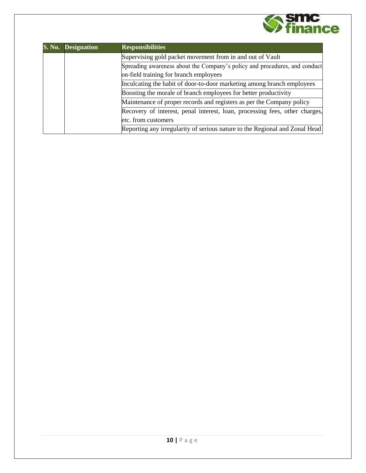

| S. No. | <b>Designation</b> | <b>Responsibilities</b>                                                     |  |
|--------|--------------------|-----------------------------------------------------------------------------|--|
|        |                    | Supervising gold packet movement from in and out of Vault                   |  |
|        |                    | Spreading awareness about the Company's policy and procedures, and conduct  |  |
|        |                    | on-field training for branch employees                                      |  |
|        |                    | Inculcating the habit of door-to-door marketing among branch employees      |  |
|        |                    | Boosting the morale of branch employees for better productivity             |  |
|        |                    | Maintenance of proper records and registers as per the Company policy       |  |
|        |                    | Recovery of interest, penal interest, loan, processing fees, other charges, |  |
|        |                    | etc. from customers                                                         |  |
|        |                    | Reporting any irregularity of serious nature to the Regional and Zonal Head |  |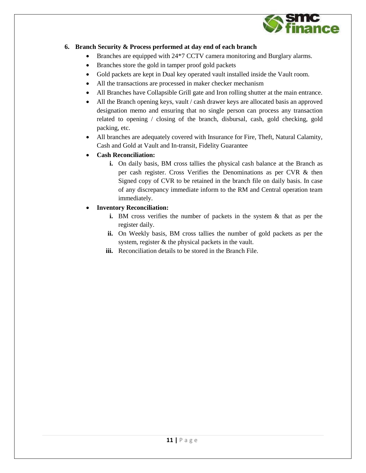

#### **6. Branch Security & Process performed at day end of each branch**

- Branches are equipped with 24\*7 CCTV camera monitoring and Burglary alarms.
- Branches store the gold in tamper proof gold packets
- Gold packets are kept in Dual key operated vault installed inside the Vault room.
- All the transactions are processed in maker checker mechanism
- All Branches have Collapsible Grill gate and Iron rolling shutter at the main entrance.
- All the Branch opening keys, vault / cash drawer keys are allocated basis an approved designation memo and ensuring that no single person can process any transaction related to opening / closing of the branch, disbursal, cash, gold checking, gold packing, etc.
- All branches are adequately covered with Insurance for Fire, Theft, Natural Calamity, Cash and Gold at Vault and In-transit, Fidelity Guarantee
- **Cash Reconciliation:**
	- **i.** On daily basis, BM cross tallies the physical cash balance at the Branch as per cash register. Cross Verifies the Denominations as per CVR & then Signed copy of CVR to be retained in the branch file on daily basis. In case of any discrepancy immediate inform to the RM and Central operation team immediately.
- **Inventory Reconciliation:**
	- **i.** BM cross verifies the number of packets in the system & that as per the register daily.
	- **ii.** On Weekly basis, BM cross tallies the number of gold packets as per the system, register & the physical packets in the vault.
	- **iii.** Reconciliation details to be stored in the Branch File.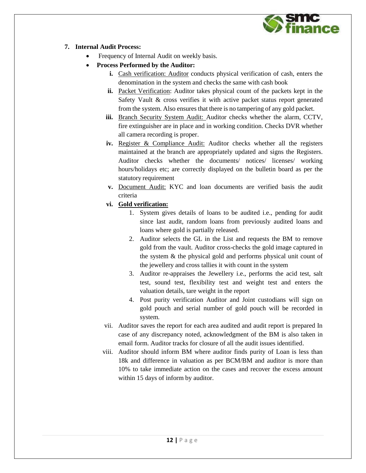

#### **7. Internal Audit Process:**

- Frequency of Internal Audit on weekly basis.
- **Process Performed by the Auditor:**
	- **i.** Cash verification: Auditor conducts physical verification of cash, enters the denomination in the system and checks the same with cash book
	- **ii.** Packet Verification: Auditor takes physical count of the packets kept in the Safety Vault & cross verifies it with active packet status report generated from the system. Also ensures that there is no tampering of any gold packet.
	- **iii.** Branch Security System Audit: Auditor checks whether the alarm, CCTV, fire extinguisher are in place and in working condition. Checks DVR whether all camera recording is proper.
	- **iv.** Register & Compliance Audit: Auditor checks whether all the registers maintained at the branch are appropriately updated and signs the Registers. Auditor checks whether the documents/ notices/ licenses/ working hours/holidays etc; are correctly displayed on the bulletin board as per the statutory requirement
	- **v.** Document Audit: KYC and loan documents are verified basis the audit criteria
	- **vi. Gold verification:**
		- 1. System gives details of loans to be audited i.e., pending for audit since last audit, random loans from previously audited loans and loans where gold is partially released.
		- 2. Auditor selects the GL in the List and requests the BM to remove gold from the vault. Auditor cross-checks the gold image captured in the system & the physical gold and performs physical unit count of the jewellery and cross tallies it with count in the system
		- 3. Auditor re-appraises the Jewellery i.e., performs the acid test, salt test, sound test, flexibility test and weight test and enters the valuation details, tare weight in the report
		- 4. Post purity verification Auditor and Joint custodians will sign on gold pouch and serial number of gold pouch will be recorded in system.
	- vii. Auditor saves the report for each area audited and audit report is prepared In case of any discrepancy noted, acknowledgment of the BM is also taken in email form. Auditor tracks for closure of all the audit issues identified.
	- viii. Auditor should inform BM where auditor finds purity of Loan is less than 18k and difference in valuation as per BCM/BM and auditor is more than 10% to take immediate action on the cases and recover the excess amount within 15 days of inform by auditor.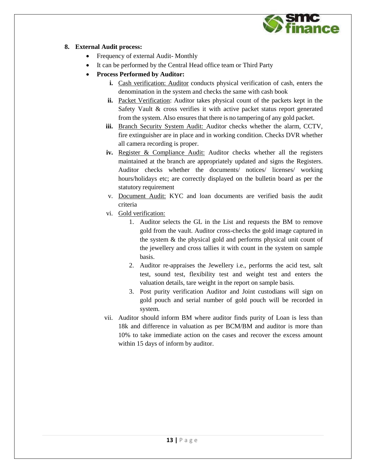

#### **8. External Audit process:**

- Frequency of external Audit- Monthly
- It can be performed by the Central Head office team or Third Party
- **Process Performed by Auditor:**
	- **i.** Cash verification: Auditor conducts physical verification of cash, enters the denomination in the system and checks the same with cash book
	- **ii.** Packet Verification: Auditor takes physical count of the packets kept in the Safety Vault & cross verifies it with active packet status report generated from the system. Also ensures that there is no tampering of any gold packet.
	- **iii.** Branch Security System Audit: Auditor checks whether the alarm, CCTV, fire extinguisher are in place and in working condition. Checks DVR whether all camera recording is proper.
	- **iv.** Register & Compliance Audit: Auditor checks whether all the registers maintained at the branch are appropriately updated and signs the Registers. Auditor checks whether the documents/ notices/ licenses/ working hours/holidays etc; are correctly displayed on the bulletin board as per the statutory requirement
	- v. Document Audit: KYC and loan documents are verified basis the audit criteria
	- vi. Gold verification:
		- 1. Auditor selects the GL in the List and requests the BM to remove gold from the vault. Auditor cross-checks the gold image captured in the system & the physical gold and performs physical unit count of the jewellery and cross tallies it with count in the system on sample basis.
		- 2. Auditor re-appraises the Jewellery i.e., performs the acid test, salt test, sound test, flexibility test and weight test and enters the valuation details, tare weight in the report on sample basis.
		- 3. Post purity verification Auditor and Joint custodians will sign on gold pouch and serial number of gold pouch will be recorded in system.
	- vii. Auditor should inform BM where auditor finds purity of Loan is less than 18k and difference in valuation as per BCM/BM and auditor is more than 10% to take immediate action on the cases and recover the excess amount within 15 days of inform by auditor.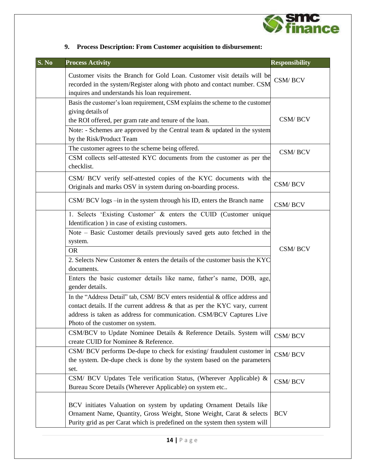

| S. No | <b>Process Activity</b>                                                                                                                                                                                                                                                                                                                                                                                                                                                                                                                                                                                                                                                                     | <b>Responsibility</b> |
|-------|---------------------------------------------------------------------------------------------------------------------------------------------------------------------------------------------------------------------------------------------------------------------------------------------------------------------------------------------------------------------------------------------------------------------------------------------------------------------------------------------------------------------------------------------------------------------------------------------------------------------------------------------------------------------------------------------|-----------------------|
|       | Customer visits the Branch for Gold Loan. Customer visit details will be<br>recorded in the system/Register along with photo and contact number. CSM<br>inquires and understands his loan requirement.                                                                                                                                                                                                                                                                                                                                                                                                                                                                                      | CSM/BCV               |
|       | Basis the customer's loan requirement, CSM explains the scheme to the customer<br>giving details of<br>the ROI offered, per gram rate and tenure of the loan.<br>Note: - Schemes are approved by the Central team $\&$ updated in the system<br>by the Risk/Product Team                                                                                                                                                                                                                                                                                                                                                                                                                    | CSM/BCV               |
|       | The customer agrees to the scheme being offered.<br>CSM collects self-attested KYC documents from the customer as per the<br>checklist.                                                                                                                                                                                                                                                                                                                                                                                                                                                                                                                                                     | CSM/BCV               |
|       | CSM/ BCV verify self-attested copies of the KYC documents with the<br>Originals and marks OSV in system during on-boarding process.                                                                                                                                                                                                                                                                                                                                                                                                                                                                                                                                                         | CSM/BCV               |
|       | CSM/BCV logs -in in the system through his ID, enters the Branch name                                                                                                                                                                                                                                                                                                                                                                                                                                                                                                                                                                                                                       | CSM/BCV               |
|       | 1. Selects 'Existing Customer' & enters the CUID (Customer unique<br>Identification ) in case of existing customers.<br>Note - Basic Customer details previously saved gets auto fetched in the<br>system.<br><b>OR</b><br>2. Selects New Customer & enters the details of the customer basis the KYC<br>documents.<br>Enters the basic customer details like name, father's name, DOB, age,<br>gender details.<br>In the "Address Detail" tab, CSM/ BCV enters residential & office address and<br>contact details. If the current address & that as per the KYC vary, current<br>address is taken as address for communication. CSM/BCV Captures Live<br>Photo of the customer on system. | CSM/BCV               |
|       | CSM/BCV to Update Nominee Details & Reference Details. System will<br>create CUID for Nominee & Reference.                                                                                                                                                                                                                                                                                                                                                                                                                                                                                                                                                                                  | CSM/BCV               |
|       | CSM/ BCV performs De-dupe to check for existing/ fraudulent customer in<br>the system. De-dupe check is done by the system based on the parameters<br>set.                                                                                                                                                                                                                                                                                                                                                                                                                                                                                                                                  | CSM/BCV               |
|       | CSM/ BCV Updates Tele verification Status, (Wherever Applicable) &<br>Bureau Score Details (Wherever Applicable) on system etc                                                                                                                                                                                                                                                                                                                                                                                                                                                                                                                                                              | CSM/BCV               |
|       | BCV initiates Valuation on system by updating Ornament Details like<br>Ornament Name, Quantity, Gross Weight, Stone Weight, Carat & selects<br>Purity grid as per Carat which is predefined on the system then system will                                                                                                                                                                                                                                                                                                                                                                                                                                                                  | <b>BCV</b>            |

## **9. Process Description: From Customer acquisition to disbursement:**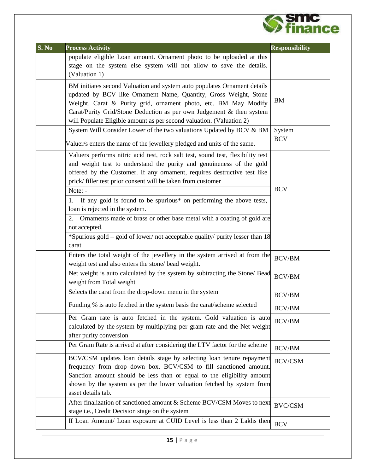

| S. No | <b>Process Activity</b>                                                                                                                      | <b>Responsibility</b> |
|-------|----------------------------------------------------------------------------------------------------------------------------------------------|-----------------------|
|       | populate eligible Loan amount. Ornament photo to be uploaded at this                                                                         |                       |
|       | stage on the system else system will not allow to save the details.                                                                          |                       |
|       | (Valuation 1)                                                                                                                                |                       |
|       | BM initiates second Valuation and system auto populates Ornament details<br>updated by BCV like Ornament Name, Quantity, Gross Weight, Stone |                       |
|       | Weight, Carat & Purity grid, ornament photo, etc. BM May Modify                                                                              | <b>BM</b>             |
|       | Carat/Purity Grid/Stone Deduction as per own Judgement & then system                                                                         |                       |
|       | will Populate Eligible amount as per second valuation. (Valuation 2)                                                                         |                       |
|       | System Will Consider Lower of the two valuations Updated by BCV & BM                                                                         | System                |
|       | Valuer/s enters the name of the jewellery pledged and units of the same.                                                                     | <b>BCV</b>            |
|       | Valuers performs nitric acid test, rock salt test, sound test, flexibility test                                                              |                       |
|       | and weight test to understand the purity and genuineness of the gold                                                                         |                       |
|       | offered by the Customer. If any ornament, requires destructive test like                                                                     |                       |
|       | prick/filler test prior consent will be taken from customer                                                                                  |                       |
|       | Note: -                                                                                                                                      | <b>BCV</b>            |
|       | If any gold is found to be spurious* on performing the above tests,                                                                          |                       |
|       | loan is rejected in the system.                                                                                                              |                       |
|       | Ornaments made of brass or other base metal with a coating of gold are<br>2.                                                                 |                       |
|       | not accepted.                                                                                                                                |                       |
|       | *Spurious gold - gold of lower/ not acceptable quality/ purity lesser than 18                                                                |                       |
|       | carat                                                                                                                                        |                       |
|       | Enters the total weight of the jewellery in the system arrived at from the                                                                   | <b>BCV/BM</b>         |
|       | weight test and also enters the stone/ bead weight.                                                                                          |                       |
|       | Net weight is auto calculated by the system by subtracting the Stone/ Bead<br>weight from Total weight                                       | <b>BCV/BM</b>         |
|       | Selects the carat from the drop-down menu in the system                                                                                      | <b>BCV/BM</b>         |
|       | Funding % is auto fetched in the system basis the carat/scheme selected                                                                      | <b>BCV/BM</b>         |
|       | Per Gram rate is auto fetched in the system. Gold valuation is auto                                                                          | <b>BCV/BM</b>         |
|       | calculated by the system by multiplying per gram rate and the Net weight<br>after purity conversion                                          |                       |
|       | Per Gram Rate is arrived at after considering the LTV factor for the scheme                                                                  |                       |
|       |                                                                                                                                              | <b>BCV/BM</b>         |
|       | BCV/CSM updates loan details stage by selecting loan tenure repayment                                                                        | <b>BCV/CSM</b>        |
|       | frequency from drop down box. BCV/CSM to fill sanctioned amount.                                                                             |                       |
|       | Sanction amount should be less than or equal to the eligibility amount                                                                       |                       |
|       | shown by the system as per the lower valuation fetched by system from<br>asset details tab.                                                  |                       |
|       | After finalization of sanctioned amount & Scheme BCV/CSM Moves to next                                                                       |                       |
|       | stage i.e., Credit Decision stage on the system                                                                                              | <b>BVC/CSM</b>        |
|       | If Loan Amount/ Loan exposure at CUID Level is less than 2 Lakhs then                                                                        |                       |
|       |                                                                                                                                              | <b>BCV</b>            |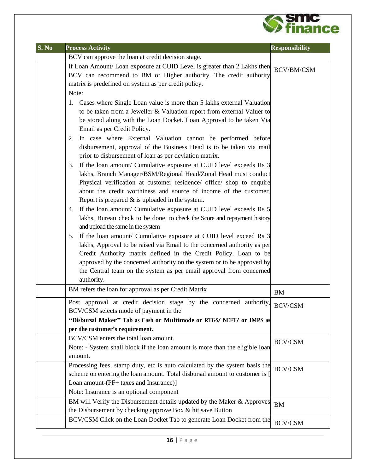

| S. No | <b>Process Activity</b>                                                                                                                                                                                                                                                                                                                                                                                                                                                                                                                                                                                                                                                                                                                                                                                                                                                                                                     | <b>Responsibility</b> |
|-------|-----------------------------------------------------------------------------------------------------------------------------------------------------------------------------------------------------------------------------------------------------------------------------------------------------------------------------------------------------------------------------------------------------------------------------------------------------------------------------------------------------------------------------------------------------------------------------------------------------------------------------------------------------------------------------------------------------------------------------------------------------------------------------------------------------------------------------------------------------------------------------------------------------------------------------|-----------------------|
|       | BCV can approve the loan at credit decision stage.                                                                                                                                                                                                                                                                                                                                                                                                                                                                                                                                                                                                                                                                                                                                                                                                                                                                          |                       |
|       | If Loan Amount/ Loan exposure at CUID Level is greater than 2 Lakhs then BCV/BM/CSM                                                                                                                                                                                                                                                                                                                                                                                                                                                                                                                                                                                                                                                                                                                                                                                                                                         |                       |
|       | BCV can recommend to BM or Higher authority. The credit authority                                                                                                                                                                                                                                                                                                                                                                                                                                                                                                                                                                                                                                                                                                                                                                                                                                                           |                       |
|       | matrix is predefined on system as per credit policy.                                                                                                                                                                                                                                                                                                                                                                                                                                                                                                                                                                                                                                                                                                                                                                                                                                                                        |                       |
|       | Note:                                                                                                                                                                                                                                                                                                                                                                                                                                                                                                                                                                                                                                                                                                                                                                                                                                                                                                                       |                       |
|       | 1. Cases where Single Loan value is more than 5 lakhs external Valuation<br>to be taken from a Jeweller & Valuation report from external Valuer to<br>be stored along with the Loan Docket. Loan Approval to be taken Via<br>Email as per Credit Policy.<br>2. In case where External Valuation cannot be performed before<br>disbursement, approval of the Business Head is to be taken via mail<br>prior to disbursement of loan as per deviation matrix.                                                                                                                                                                                                                                                                                                                                                                                                                                                                 |                       |
|       | 3. If the loan amount/ Cumulative exposure at CUID level exceeds Rs 3<br>lakhs, Branch Manager/BSM/Regional Head/Zonal Head must conduct<br>Physical verification at customer residence/ office/ shop to enquire<br>about the credit worthiness and source of income of the customer.<br>Report is prepared $\&$ is uploaded in the system.<br>4. If the loan amount/ Cumulative exposure at CUID level exceeds Rs 5<br>lakhs, Bureau check to be done to check the Score and repayment history<br>and upload the same in the system<br>5. If the loan amount/ Cumulative exposure at CUID level exceed Rs 3<br>lakhs, Approval to be raised via Email to the concerned authority as per<br>Credit Authority matrix defined in the Credit Policy. Loan to be<br>approved by the concerned authority on the system or to be approved by<br>the Central team on the system as per email approval from concerned<br>authority. |                       |
|       | BM refers the loan for approval as per Credit Matrix                                                                                                                                                                                                                                                                                                                                                                                                                                                                                                                                                                                                                                                                                                                                                                                                                                                                        | <b>BM</b>             |
|       | Post approval at credit decision stage by the concerned authority,<br>BCV/CSM selects mode of payment in the<br>"Disbursal Maker" Tab as Cash or Multimode or RTGS/NEFT/ or IMPS as<br>per the customer's requirement.                                                                                                                                                                                                                                                                                                                                                                                                                                                                                                                                                                                                                                                                                                      | <b>BCV/CSM</b>        |
|       | BCV/CSM enters the total loan amount.<br>Note: - System shall block if the loan amount is more than the eligible loan<br>amount.                                                                                                                                                                                                                                                                                                                                                                                                                                                                                                                                                                                                                                                                                                                                                                                            | <b>BCV/CSM</b>        |
|       | Processing fees, stamp duty, etc is auto calculated by the system basis the<br>scheme on entering the loan amount. Total disbursal amount to customer is [<br>Loan amount-(PF+ taxes and Insurance)]<br>Note: Insurance is an optional component                                                                                                                                                                                                                                                                                                                                                                                                                                                                                                                                                                                                                                                                            | <b>BCV/CSM</b>        |
|       | BM will Verify the Disbursement details updated by the Maker & Approves<br>the Disbursement by checking approve Box & hit save Button                                                                                                                                                                                                                                                                                                                                                                                                                                                                                                                                                                                                                                                                                                                                                                                       | <b>BM</b>             |
|       | BCV/CSM Click on the Loan Docket Tab to generate Loan Docket from the                                                                                                                                                                                                                                                                                                                                                                                                                                                                                                                                                                                                                                                                                                                                                                                                                                                       | $\rm BCV/CSM$         |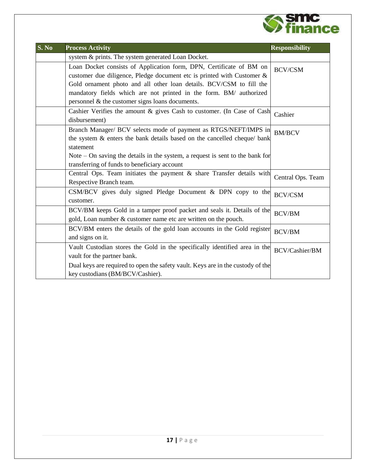

| S. No | <b>Process Activity</b>                                                                                                                       | <b>Responsibility</b> |
|-------|-----------------------------------------------------------------------------------------------------------------------------------------------|-----------------------|
|       | system & prints. The system generated Loan Docket.                                                                                            |                       |
|       | Loan Docket consists of Application form, DPN, Certificate of BM on<br>customer due diligence, Pledge document etc is printed with Customer & | <b>BCV/CSM</b>        |
|       | Gold ornament photo and all other loan details. BCV/CSM to fill the                                                                           |                       |
|       | mandatory fields which are not printed in the form. BM/ authorized<br>personnel & the customer signs loans documents.                         |                       |
|       | Cashier Verifies the amount $\&$ gives Cash to customer. (In Case of Cash Cashier<br>disbursement)                                            |                       |
|       | Branch Manager/ BCV selects mode of payment as RTGS/NEFT/IMPS in<br>the system & enters the bank details based on the cancelled cheque/ bank  | <b>BM/BCV</b>         |
|       | statement                                                                                                                                     |                       |
|       | Note $-$ On saving the details in the system, a request is sent to the bank for                                                               |                       |
|       | transferring of funds to beneficiary account                                                                                                  |                       |
|       | Central Ops. Team initiates the payment & share Transfer details with<br>Respective Branch team.                                              | Central Ops. Team     |
|       | CSM/BCV gives duly signed Pledge Document & DPN copy to the<br>customer.                                                                      | <b>BCV/CSM</b>        |
|       | BCV/BM keeps Gold in a tamper proof packet and seals it. Details of the<br>gold, Loan number & customer name etc are written on the pouch.    | <b>BCV/BM</b>         |
|       | BCV/BM enters the details of the gold loan accounts in the Gold register<br>and signs on it.                                                  | <b>BCV/BM</b>         |
|       | Vault Custodian stores the Gold in the specifically identified area in the<br>vault for the partner bank.                                     | BCV/Cashier/BM        |
|       | Dual keys are required to open the safety vault. Keys are in the custody of the<br>key custodians (BM/BCV/Cashier).                           |                       |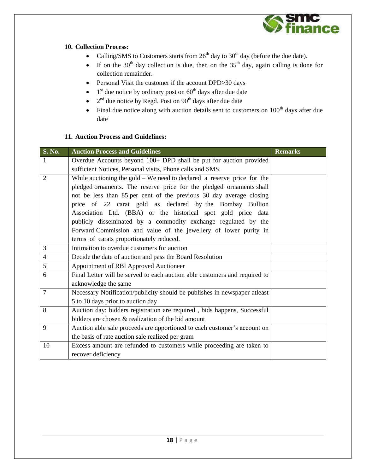

#### **10. Collection Process:**

- Calling/SMS to Customers starts from  $26<sup>th</sup>$  day to  $30<sup>th</sup>$  day (before the due date).
- If on the 30<sup>th</sup> day collection is due, then on the  $35<sup>th</sup>$  day, again calling is done for collection remainder.
- Personal Visit the customer if the account DPD>30 days
- $\bullet$  1<sup>st</sup> due notice by ordinary post on 60<sup>th</sup> days after due date
- $2<sup>nd</sup>$  due notice by Regd. Post on 90<sup>th</sup> days after due date
- $\bullet$  Final due notice along with auction details sent to customers on  $100<sup>th</sup>$  days after due date

#### **11. Auction Process and Guidelines:**

| <b>S. No.</b>  | <b>Auction Process and Guidelines</b>                                      | <b>Remarks</b> |
|----------------|----------------------------------------------------------------------------|----------------|
| 1              | Overdue Accounts beyond 100+ DPD shall be put for auction provided         |                |
|                | sufficient Notices, Personal visits, Phone calls and SMS.                  |                |
| $\overline{2}$ | While auctioning the $gold - We$ need to declared a reserve price for the  |                |
|                | pledged ornaments. The reserve price for the pledged ornaments shall       |                |
|                | not be less than 85 per cent of the previous 30 day average closing        |                |
|                | price of 22 carat gold as declared by the Bombay Bullion                   |                |
|                | Association Ltd. (BBA) or the historical spot gold price data              |                |
|                | publicly disseminated by a commodity exchange regulated by the             |                |
|                | Forward Commission and value of the jewellery of lower purity in           |                |
|                | terms of carats proportionately reduced.                                   |                |
| 3              | Intimation to overdue customers for auction                                |                |
| $\overline{4}$ | Decide the date of auction and pass the Board Resolution                   |                |
| 5              | Appointment of RBI Approved Auctioneer                                     |                |
| 6              | Final Letter will be served to each auction able customers and required to |                |
|                | acknowledge the same                                                       |                |
| $\overline{7}$ | Necessary Notification/publicity should be publishes in newspaper atleast  |                |
|                | 5 to 10 days prior to auction day                                          |                |
| 8              | Auction day: bidders registration are required, bids happens, Successful   |                |
|                | bidders are chosen & realization of the bid amount                         |                |
| 9              | Auction able sale proceeds are apportioned to each customer's account on   |                |
|                | the basis of rate auction sale realized per gram                           |                |
| 10             | Excess amount are refunded to customers while proceeding are taken to      |                |
|                | recover deficiency                                                         |                |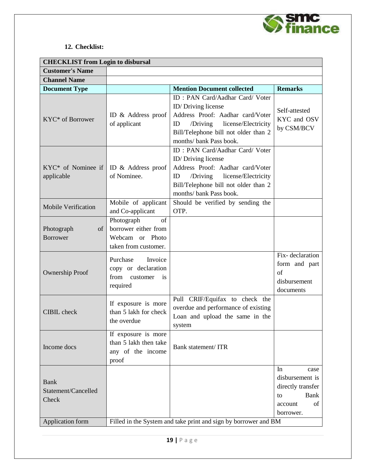

#### **12. Checklist:**

| <b>CHECKLIST</b> from Login to disbursal    |                                                                                     |                                                                                                                                                                                                           |                                                                                                       |  |  |  |
|---------------------------------------------|-------------------------------------------------------------------------------------|-----------------------------------------------------------------------------------------------------------------------------------------------------------------------------------------------------------|-------------------------------------------------------------------------------------------------------|--|--|--|
| <b>Customer's Name</b>                      |                                                                                     |                                                                                                                                                                                                           |                                                                                                       |  |  |  |
| <b>Channel Name</b>                         |                                                                                     |                                                                                                                                                                                                           |                                                                                                       |  |  |  |
| <b>Document Type</b>                        |                                                                                     | <b>Mention Document collected</b>                                                                                                                                                                         | <b>Remarks</b>                                                                                        |  |  |  |
| KYC* of Borrower                            | ID & Address proof<br>of applicant                                                  | <b>ID: PAN Card/Aadhar Card/ Voter</b><br>ID/Driving license<br>Address Proof: Aadhar card/Voter<br>/Driving license/Electricity<br>ID<br>Bill/Telephone bill not older than 2<br>months/ bank Pass book. | Self-attested<br>KYC and OSV<br>by CSM/BCV                                                            |  |  |  |
| KYC* of Nominee if<br>applicable            | ID & Address proof<br>of Nominee.                                                   | ID: PAN Card/Aadhar Card/ Voter<br>ID/Driving license<br>Address Proof: Aadhar card/Voter<br>license/Electricity<br>ID<br>/Driving<br>Bill/Telephone bill not older than 2<br>months/ bank Pass book.     |                                                                                                       |  |  |  |
| <b>Mobile Verification</b>                  | Mobile of applicant<br>and Co-applicant                                             | Should be verified by sending the<br>OTP.                                                                                                                                                                 |                                                                                                       |  |  |  |
| Photograph<br>of<br><b>Borrower</b>         | Photograph<br>of<br>borrower either from<br>Webcam or Photo<br>taken from customer. |                                                                                                                                                                                                           |                                                                                                       |  |  |  |
| <b>Ownership Proof</b>                      | Purchase<br>Invoice<br>copy or declaration<br>from<br>customer<br>is<br>required    |                                                                                                                                                                                                           | Fix-declaration<br>form and part<br>of<br>disbursement<br>documents                                   |  |  |  |
| <b>CIBIL</b> check                          | If exposure is more<br>than 5 lakh for check<br>the overdue                         | Pull CRIF/Equifax to check the<br>overdue and performance of existing<br>Loan and upload the same in the<br>system                                                                                        |                                                                                                       |  |  |  |
| Income docs                                 | If exposure is more<br>than 5 lakh then take<br>any of the income<br>proof          | Bank statement/ ITR                                                                                                                                                                                       |                                                                                                       |  |  |  |
| <b>Bank</b><br>Statement/Cancelled<br>Check |                                                                                     |                                                                                                                                                                                                           | In<br>case<br>disbursement is<br>directly transfer<br><b>Bank</b><br>to<br>of<br>account<br>borrower. |  |  |  |
| Application form                            | Filled in the System and take print and sign by borrower and BM                     |                                                                                                                                                                                                           |                                                                                                       |  |  |  |